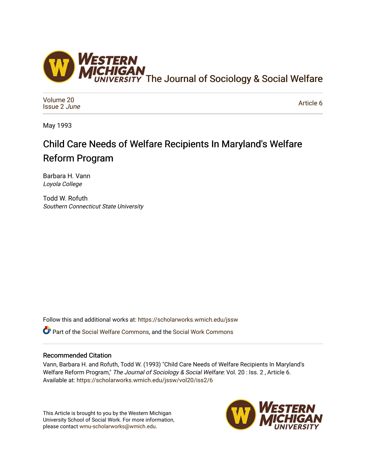

[Volume 20](https://scholarworks.wmich.edu/jssw/vol20) [Issue 2](https://scholarworks.wmich.edu/jssw/vol20/iss2) June

[Article 6](https://scholarworks.wmich.edu/jssw/vol20/iss2/6) 

May 1993

# Child Care Needs of Welfare Recipients In Maryland's Welfare Reform Program

Barbara H. Vann Loyola College

Todd W. Rofuth Southern Connecticut State University

Follow this and additional works at: [https://scholarworks.wmich.edu/jssw](https://scholarworks.wmich.edu/jssw?utm_source=scholarworks.wmich.edu%2Fjssw%2Fvol20%2Fiss2%2F6&utm_medium=PDF&utm_campaign=PDFCoverPages) 

Part of the [Social Welfare Commons](http://network.bepress.com/hgg/discipline/401?utm_source=scholarworks.wmich.edu%2Fjssw%2Fvol20%2Fiss2%2F6&utm_medium=PDF&utm_campaign=PDFCoverPages), and the [Social Work Commons](http://network.bepress.com/hgg/discipline/713?utm_source=scholarworks.wmich.edu%2Fjssw%2Fvol20%2Fiss2%2F6&utm_medium=PDF&utm_campaign=PDFCoverPages) 

## Recommended Citation

Vann, Barbara H. and Rofuth, Todd W. (1993) "Child Care Needs of Welfare Recipients In Maryland's Welfare Reform Program," The Journal of Sociology & Social Welfare: Vol. 20 : Iss. 2, Article 6. Available at: [https://scholarworks.wmich.edu/jssw/vol20/iss2/6](https://scholarworks.wmich.edu/jssw/vol20/iss2/6?utm_source=scholarworks.wmich.edu%2Fjssw%2Fvol20%2Fiss2%2F6&utm_medium=PDF&utm_campaign=PDFCoverPages)

This Article is brought to you by the Western Michigan University School of Social Work. For more information, please contact [wmu-scholarworks@wmich.edu.](mailto:wmu-scholarworks@wmich.edu)

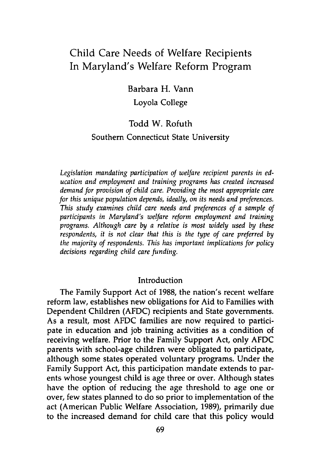## Child Care Needs of Welfare Recipients In Maryland's Welfare Reform Program

Barbara H. Vann

Loyola College

## Todd W. Rofuth

## Southern Connecticut State University

*Legislation mandating participation of welfare recipient parents in education and employment and training programs has created increased demand for provision of child care. Providing the most appropriate care for this unique population depends, ideally, on its needs and preferences. This study examines child care needs and preferences of a sample of participants in Maryland's welfare reform employment and training programs. Although care by a relative is most widely used by these respondents, it is not clear that this is the type of care preferred by the majority of respondents. This has important implications for policy decisions regarding child care funding.*

#### Introduction

The Family Support Act of **1988,** the nation's recent welfare reform law, establishes new obligations for Aid to Families with Dependent Children **(AFDC)** recipients and State governments. As a result, most **AFDC** families are now required to participate in education and **job** training activities as a condition of receiving welfare. Prior to the Family Support Act, only **AFDC** parents with school-age children were obligated to participate, although some states operated voluntary programs. Under the Family Support Act, this participation mandate extends to parents whose youngest child is age three or over. Although states have the option of reducing the age threshold to age one or over, few states planned to do so prior to implementation of the act (American Public Welfare Association, **1989),** primarily due to the increased demand for child care that this policy would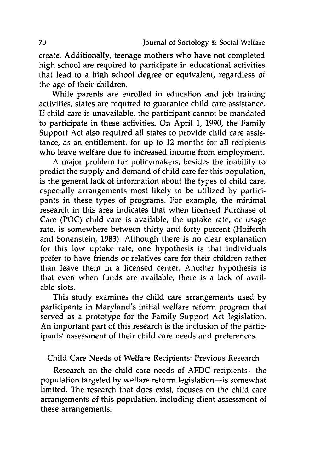create. Additionally, teenage mothers who have not completed high school are required to participate in educational activities that lead to a high school degree or equivalent, regardless of the age of their children.

While parents are enrolled in education and **job** training activities, states are required to guarantee child care assistance. **If** child care is unavailable, the participant cannot be mandated to participate in these activities. On April **1, 1990,** the Family Support Act also required all states to provide child care assistance, as an entitlement, for up to 12 months for all recipients who leave welfare due to increased income from employment.

A major problem for policymakers, besides the inability to predict the supply and demand of child care for this population, is the general lack of information about the types of child care, especially arrangements most likely to be utilized **by** participants in these types of programs. For example, the minimal research in this area indicates that when licensed Purchase of Care **(POC)** child care is available, the uptake rate, or usage rate, is somewhere between thirty and forty percent (Hofferth and Sonenstein, **1983).** Although there is no clear explanation for this low uptake rate, one hypothesis is that individuals prefer to have friends or relatives care for their children rather than leave them in a licensed center. Another hypothesis is that even when funds are available, there is a lack of available slots.

This study examines the child care arrangements used **by** participants in Maryland's initial welfare reform program that served as a prototype for the Family Support Act legislation. An important part of this research is the inclusion of the participants' assessment of their child care needs and preferences.

## Child Care Needs of Welfare Recipients: Previous Research

Research on the child care needs of AFDC recipients-the population targeted **by** welfare reform legislation-is somewhat limited. The research that does exist, focuses on the child care arrangements of this population, including client assessment of these arrangements.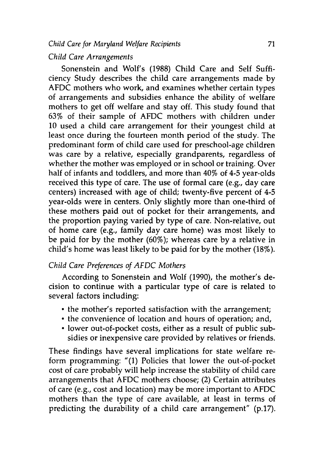## *Child Care Arrangements*

Sonenstein and Wolf's (1988) Child Care and Self Sufficiency Study describes the child care arrangements made by AFDC mothers who work, and examines whether certain types of arrangements and subsidies enhance the ability of welfare mothers to get off welfare and stay off. This study found that 63% of their sample of AFDC mothers with children under 10 used a child care arrangement for their youngest child at least once during the fourteen month period of the study. The predominant form of child care used for preschool-age children was care by a relative, especially grandparents, regardless of whether the mother was employed or in school or training. Over half of infants and toddlers, and more than 40% of 4-5 year-olds received this type of care. The use of formal care (e.g., day care centers) increased with age of child; twenty-five percent of 4-5 year-olds were in centers. Only slightly more than one-third of these mothers paid out of pocket for their arrangements, and the proportion paying varied by type of care. Non-relative, out of home care (e.g., family day care home) was most likely to be paid for by the mother (60%); whereas care by a relative in child's home was least likely to be paid for by the mother (18%).

## *Child Care Preferences of AFDC Mothers*

According to Sonenstein and Wolf (1990), the mother's decision to continue with a particular type of care is related to several factors including:

- the mother's reported satisfaction with the arrangement;
- the convenience of location and hours of operation; and,
- lower out-of-pocket costs, either as a result of public subsidies or inexpensive care provided by relatives or friends.

These findings have several implications for state welfare reform programming: "(1) Policies that lower the out-of-pocket cost of care probably will help increase the stability of child care arrangements that AFDC mothers choose; (2) Certain attributes of care (e.g., cost and location) may be more important to AFDC mothers than the type of care available, at least in terms of predicting the durability of a child care arrangement" (p.17).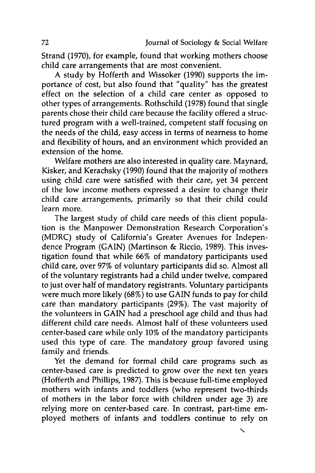Strand **(1970),** for example, found that working mothers choose child care arrangements that are most convenient.

A study **by** Hofferth and Wissoker **(1990)** supports the importance of cost, but also found that "quality" has the greatest effect on the selection of a child care center as opposed to other types of arrangements. Rothschild **(1978)** found that single parents chose their child care because the facility offered a structured program with a well-trained, competent staff focusing on the needs of the child, easy access in terms of nearness to home and flexibility of hours, and an environment which provided an extension of the home.

Welfare mothers are also interested in quality care. Maynard, Kisker, and Kerachsky **(1990)** found that the majority of mothers using child care were satisfied with their care, yet 34 percent of the low income mothers expressed a desire to change their child care arrangements, primarily so that their child could learn more.

The largest study of child care needs of this client population is the Manpower Demonstration Research Corporation's (MDRC) study of California's Greater Avenues for Independence Program (GAIN) (Martinson **&** Riccio, **1989).** This investigation found that while **66%** of mandatory participants used child care, over **97%** of voluntary participants did so. Almost all of the voluntary registrants had a child under twelve, compared to just over half of mandatory registrants. Voluntary participants were much more likely **(68%)** to use GAIN funds to pay for child care than mandatory participants **(29%).** The vast majority of the volunteers in **GAIN** had a preschool age child and thus had different child care needs. Almost half of these volunteers used center-based care while only **10%** of the mandatory participants used this type of care. The mandatory group favored using family and friends.

Yet the demand for formal child care programs such as center-based care is predicted to grow over the next ten years (Hofferth and Phillips, **1987).** This is because full-time employed mothers with infants and toddlers (who represent two-thirds of mothers in the labor force with children under age **3)** are relying more on center-based care. In contrast, part-time employed mothers of infants and toddlers continue to rely on

**N**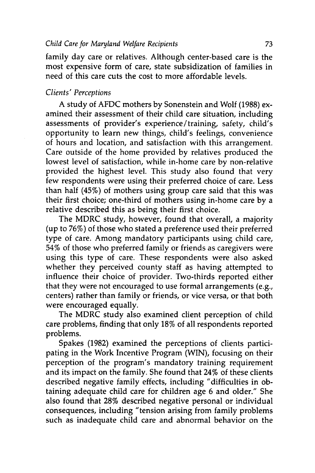family day care or relatives. Although center-based care is the most expensive form of care, state subsidization of families in need of this care cuts the cost to more affordable levels.

## *Clients' Perceptions*

A study of **AFDC** mothers **by** Sonenstein and Wolf **(1988)** examined their assessment of their child care situation, including assessments of provider's experience/ training, safety, child's opportunity to learn new things, child's feelings, convenience of hours and location, and satisfaction with this arrangement. Care outside of the home provided **by** relatives produced the lowest level of satisfaction, while in-home care **by** non-relative provided the highest level. This study also found that very few respondents were using their preferred choice of care. Less than half (45%) of mothers using group care said that this was their first choice; one-third of mothers using in-home care **by** a relative described this as being their first choice.

The MDRC study, however, found that overall, a majority (up to **76%)** of those who stated a preference used their preferred type of care. Among mandatory participants using child care, **54%** of those who preferred family or friends as caregivers were using this type of care. These respondents were also asked whether they perceived county staff as having attempted to influence their choice of provider. Two-thirds reported either that they were not encouraged to use formal arrangements (e.g., centers) rather than family or friends, or vice versa, or that both were encouraged equally.

The MDRC study also examined client perception of child care problems, finding that only **18%** of all respondents reported problems.

Spakes **(1982)** examined the perceptions of clients participating in the Work Incentive Program (WIN), focusing on their perception of the program's mandatory training requirement and its impact on the family. She found that 24% of these clients described negative family effects, including "difficulties in obtaining adequate child care for children age **6** and older." She also found that **28%** described negative personal or individual consequences, including "tension arising from family problems such as inadequate child care and abnormal behavior on the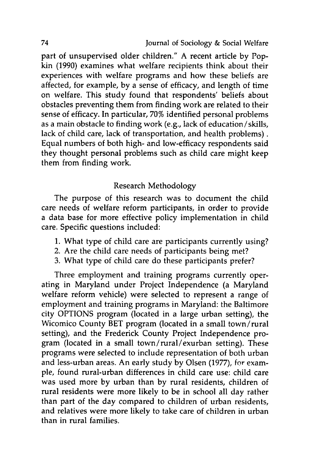part of unsupervised older children." A recent article by Popkin (1990) examines what welfare recipients think about their experiences with welfare programs and how these beliefs are affected, for example, by a sense of efficacy, and length of time on welfare. This study found that respondents' beliefs about obstacles preventing them from finding work are related to their sense of efficacy. In particular, **70%** identified personal problems as a main obstacle to finding work (e.g., lack of education/skills, lack of child care, lack of transportation, and health problems). Equal numbers of both high- and low-efficacy respondents said they thought personal problems such as child care might keep them from finding work.

## Research Methodology

The purpose of this research was to document the child care needs of welfare reform participants, in order to provide a data base for more effective policy implementation in child care. Specific questions included:

- 1. What type of child care are participants currently using?
- 2. Are the child care needs of participants being met?
- 3. What type of child care do these participants prefer?

Three employment and training programs currently operating in Maryland under Project Independence (a Maryland welfare reform vehicle) were selected to represent a range of employment and training programs in Maryland: the Baltimore city OPTIONS program (located in a large urban setting), the Wicomico County BET program (located in a small town/rural setting), and the Frederick County Project Independence program (located in a small town/rural/exurban setting). These programs were selected to include representation of both urban and less-urban areas. An early study by Olsen (1977), for example, found rural-urban differences in child care use: child care was used more by urban than by rural residents, children of rural residents were more likely to be in school all day rather than part of the day compared to children of urban residents, and relatives were more likely to take care of children in urban than in rural families.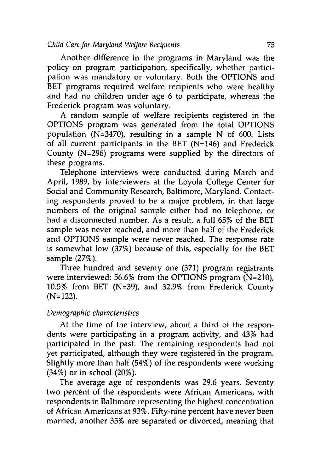Another difference in the programs in Maryland was the policy on program participation, specifically, whether participation was mandatory or voluntary. Both the OPTIONS and BET programs required welfare recipients who were healthy and had no children under age 6 to participate, whereas the Frederick program was voluntary.

A random sample of welfare recipients registered in the OPTIONS program was generated from the total OPTIONS population (N=3470), resulting in a sample N of 600. Lists of all current participants in the BET (N=146) and Frederick County (N=296) programs were supplied by the directors of these programs.

Telephone interviews were conducted during March and April, 1989, by interviewers at the Loyola College Center for Social and Community Research, Baltimore, Maryland. Contacting respondents proved to be a major problem, in that large numbers of the original sample either had no telephone, or had a disconnected number. As a result, a full 65% of the BET sample was never reached, and more than half of the Frederick and OPTIONS sample were never reached. The response rate is somewhat low (37%) because of this, especially for the BET sample (27%).

Three hundred and seventy one (371) program registrants were interviewed: 56.6% from the OPTIONS program (N=210), 10.5% from BET (N=39), and 32.9% from Frederick County **(N=** 122).

## *Demographic characteristics*

At the time of the interview, about a third of the respondents were participating in a program activity, and 43% had participated in the past. The remaining respondents had not yet participated, although they were registered in the program. Slightly more than half (54%) of the respondents were working (34%) or in school (20%).

The average age of respondents was 29.6 years. Seventy two percent of the respondents were African Americans, with respondents in Baltimore representing the highest concentration of African Americans at 93%. Fifty-nine percent have never been married; another 35% are separated or divorced, meaning that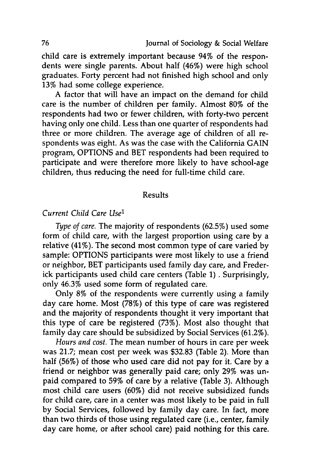child care is extremely important because 94% of the respondents were single parents. About half (46%) were high school graduates. Forty percent had not finished high school and only 13% had some college experience.

A factor that will have an impact on the demand for child care is the number of children per family. Almost **80%** of the respondents had two or fewer children, with forty-two percent having only one child. Less than one quarter of respondents had three or more children. The average age of children of all respondents was eight. As was the case with the California **GAIN** program, **OPTIONS** and BET respondents had been required to participate and were therefore more likely to have school-age children, thus reducing the need for full-time child care.

## Results

## *Current Child Care Use'*

*Type of care.* The majority of respondents **(62.5%)** used some form of child care, with the largest proportion using care **by** a relative (41%). The second most common type of care varied **by** sample: OPTIONS participants were most likely to use a friend or neighbor, BET participants used family day care, and Frederick participants used child care centers (Table **1) .** Surprisingly, only 46.3% used some form of regulated care.

Only 8% of the respondents were currently using a family day care home. Most **(78%)** of this type of care was registered and the majority of respondents thought it very important that this type of care be registered **(73%).** Most also thought that family day care should be subsidized **by** Social Services (61.2%).

*Hours and cost.* The mean number of hours in care per week was **21.7;** mean cost per week was **\$32.83** (Table 2). More than half **(56%)** of those who used care did not pay for it. Care **by** a friend or neighbor was generally paid care; only **29%** was unpaid compared to **59%** of care **by** a relative (Table **3).** Although most child care users **(60%)** did not receive subsidized funds for child care, care in a center was most likely to be paid in full **by** Social Services, followed **by** family day care. In fact, more than two thirds of those using regulated care (i.e., center, family day care home, or after school care) paid nothing for this care.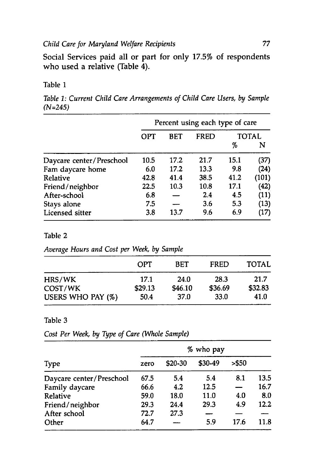Social Services paid all or part for only 17.5% of respondents who used a relative (Table 4).

#### Table **1**

*Table 1: Current Child Care Arrangements of Child Care Users, by Sample (N=245)*

|                          | Percent using each type of care |      |      |      |       |
|--------------------------|---------------------------------|------|------|------|-------|
|                          | OPT                             | BET  | FRED |      | TOTAL |
|                          |                                 |      |      | %    | N     |
| Daycare center/Preschool | 10.5                            | 17.2 | 21.7 | 15.1 | (37)  |
| Fam daycare home         | 6.0                             | 17.2 | 13.3 | 9.8  | (24)  |
| Relative                 | 42.8                            | 41.4 | 38.5 | 41.2 | (101) |
| Friend/neighbor          | 22.5                            | 10.3 | 10.8 | 17.1 | (42)  |
| After-school             | 6.8                             |      | 2.4  | 4.5  | (11)  |
| Stays alone              | 7.5                             |      | 3.6  | 5.3  | (13)  |
| Licensed sitter          | 3.8                             | 13.7 | 9.6  | 6.9  | (17)  |

#### Table 2

*Average Hours and Cost per Week, by Sample*

|                   | OPT     | <b>BET</b> | <b>FRED</b> | <b>TOTAL</b> |
|-------------------|---------|------------|-------------|--------------|
| HRS/WK            | 17.1    | 24.0       | 28.3        | 21.7         |
| COST/WK           | \$29.13 | \$46.10    | \$36.69     | \$32.83      |
| USERS WHO PAY (%) | 50.4    | 37.0       | 33.0        | 41.0         |

#### Table **3**

*Cost Per Week, by Type of Care (Whole Sample)*

| <b>Type</b>              |      | % who pay |         |        |      |
|--------------------------|------|-----------|---------|--------|------|
|                          | zero | \$20-30   | \$30-49 | > \$50 |      |
| Daycare center/Preschool | 67.5 | 5.4       | 5.4     | 8.1    | 13.5 |
| Family daycare           | 66.6 | 4.2       | 12.5    |        | 16.7 |
| Relative                 | 59.0 | 18.0      | 11.0    | 4.0    | 8.0  |
| Friend/neighbor          | 29.3 | 24.4      | 29.3    | 4.9    | 12.2 |
| After school             | 72.7 | 27.3      |         |        |      |
| Other                    | 64.7 |           | 5.9     | 17.6   | 11.8 |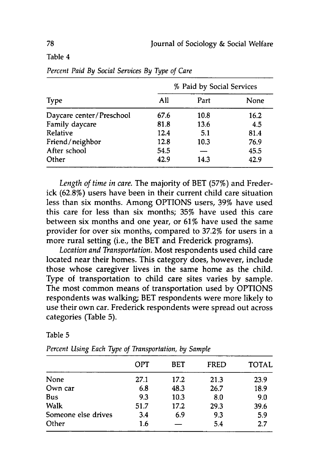### Table 4

|                          | % Paid by Social Services |      |      |  |
|--------------------------|---------------------------|------|------|--|
| Type                     | All                       | Part | None |  |
| Daycare center/Preschool | 67.6                      | 10.8 | 16.2 |  |
| Family daycare           | 81.8                      | 13.6 | 4.5  |  |
| <b>Relative</b>          | 12.4                      | 5.1  | 81.4 |  |
| Friend/neighbor          | 12.8                      | 10.3 | 76.9 |  |
| After school             | 54.5                      |      | 45.5 |  |
| Other                    | 42.9                      | 14.3 | 42.9 |  |

*Percent Paid By Social Services By Type of Care*

*Length of time in care.* The majority of BET **(57%)** and Frederick **(62.8%)** users have been in their current child care situation less than six months. Among **OPTIONS** users, **39%** have used this care for less than six months; **35%** have used this care between six months and one year, or **61%** have used the same provider for over six months, compared to **37.2%** for users in a more rural setting (i.e., the BET and Frederick programs).

*Location and Transportation.* Most respondents used child care located near their homes. This category does, however, include those whose caregiver lives in the same home as the child. Type of transportation to child care sites varies **by** sample. The most common means of transportation used **by OPTIONS** respondents was walking; BET respondents were more likely to use their own car. Frederick respondents were spread out across categories (Table **5).**

#### Table **5**

|                     | OPT  | <b>BET</b> | <b>FRED</b> | <b>TOTAL</b> |
|---------------------|------|------------|-------------|--------------|
| None                | 27.1 | 17.2       | 21.3        | 23.9         |
| Own car             | 6.8  | 48.3       | 26.7        | 18.9         |
| <b>Bus</b>          | 9.3  | 10.3       | 8.0         | 9.0          |
| Walk                | 51.7 | 17.2       | 29.3        | 39.6         |
| Someone else drives | 3.4  | 6.9        | 9.3         | 5.9          |
| Other               | 1.6  |            | 5.4         | 2.7          |

*Percent Using Each Type of Transportation, by Sample*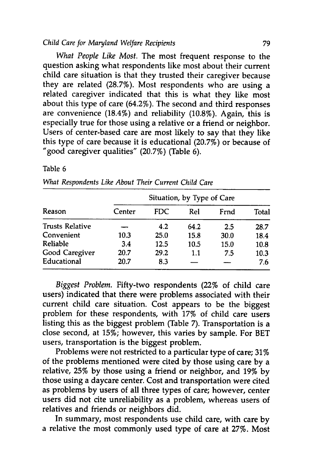#### *Child Care for Maryland Welfare Recipients* **79**

*What People Like Most.* The most frequent response to the question asking what respondents like most about their current child care situation is that they trusted their caregiver because they are related **(28.7%).** Most respondents who are using a related caregiver indicated that this is what they like most about this type of care (64.2%). The second and third responses are convenience (18.4%) and reliability (10.8%). Again, this is especially true for those using a relative or a friend or neighbor. Users of center-based care are most likely to say that they like this type of care because it is educational **(20.7%)** or because of "good caregiver qualities" **(20.7%)** (Table **6).**

#### Table **6**

| Reason                 | Situation, by Type of Care |      |      |      |       |  |  |
|------------------------|----------------------------|------|------|------|-------|--|--|
|                        | Center                     | FDC. | Rel  | Frnd | Total |  |  |
| <b>Trusts Relative</b> |                            | 4.2  | 64.2 | 2.5  | 28.7  |  |  |
| Convenient             | 10.3                       | 25.0 | 15.8 | 30.0 | 18.4  |  |  |
| Reliable               | 3.4                        | 12.5 | 10.5 | 15.0 | 10.8  |  |  |
| Good Caregiver         | 20.7                       | 29.2 | 1.1  | 7.5  | 10.3  |  |  |
| Educational            | 20.7                       | 8.3  |      |      | 7.6   |  |  |

## *What Respondents Like About Their Current Child Care*

*Biggest Problem.* Fifty-two respondents (22% of child care users) indicated that there were problems associated with their current child care situation. Cost appears to be the biggest problem for these respondents, with **17%** of child care users listing this as the biggest problem (Table **7).** Transportation is a close second, at **15%;** however, this varies **by** sample. For BET users, transportation is the biggest problem.

Problems were not restricted to a particular type of care; 31% of the problems mentioned were cited **by** those using care **by** a relative, **25% by** those using a friend or neighbor, and **19% by** those using a daycare center. Cost and transportation were cited as problems **by** users of all three types of care; however, center users did not cite unreliability as a problem, whereas users of relatives and friends or neighbors did.

In summary, most respondents use child care, with care **by** a relative the most commonly used type of care at **27%.** Most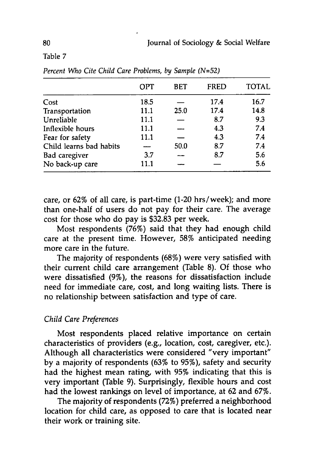Table 7

|                         | OPT  | <b>BET</b> | <b>FRED</b> | <b>TOTAL</b> |
|-------------------------|------|------------|-------------|--------------|
| Cost                    | 18.5 |            | 17.4        | 16.7         |
| Transportation          | 11.1 | 25.0       | 17.4        | 14.8         |
| Unreliable              | 11.1 |            | 8.7         | 9.3          |
| Inflexible hours        | 11.1 |            | 4.3         | 7.4          |
| Fear for safety         | 11.1 |            | 4.3         | 7.4          |
| Child learns bad habits |      | 50.0       | 8.7         | 7.4          |
| <b>Bad</b> caregiver    | 3.7  |            | 8.7         | 5.6          |
| No back-up care         | 11.1 |            |             | 5.6          |

*Percent Who Cite Child Care Problems, by Sample (N=52)*

care, or 62% of all care, is part-time (1-20 hrs/week); and more than one-half of users do not pay for their care. The average cost for those who do pay is **\$32.83** per week.

Most respondents **(76%)** said that they had enough child care at the present time. However, 58% anticipated needing more care in the future.

The majority of respondents **(68%)** were very satisfied with their current child care arrangement (Table **8). Of** those who were dissatisfied **(9%),** the reasons for dissatisfaction include need for immediate care, cost, and long waiting lists. There is no relationship between satisfaction and type of care.

#### *Child Care Preferences*

Most respondents placed relative importance on certain characteristics of providers (e.g., location, cost, caregiver, etc.). Although all characteristics were considered "very important" **by** a majority of respondents (63% to **95%),** safety and security had the highest mean rating, with **95%** indicating that this is very important (Table **9).** Surprisingly, flexible hours and cost had the lowest rankings on level of importance, at **62** and **67%.**

The majority of respondents (72%) preferred a neighborhood location for child care, as opposed to care that is located near their work or training site.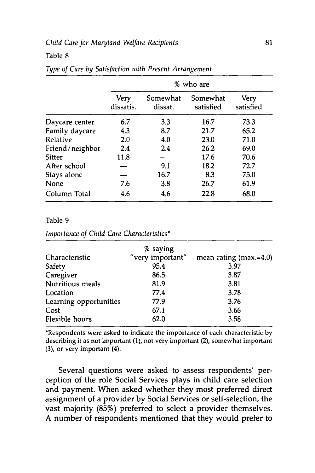#### *Child Care for Maryland Welfare Recipients* **81**

#### Table **8**

|                 | % who are                |                     |                       |                   |  |  |
|-----------------|--------------------------|---------------------|-----------------------|-------------------|--|--|
|                 | <b>Very</b><br>dissatis. | Somewhat<br>dissat. | Somewhat<br>satisfied | Very<br>satisfied |  |  |
| Daycare center  | 6.7                      | 3.3                 | 16.7                  | 73.3              |  |  |
| Family daycare  | 4.3                      | 8.7                 | 21.7                  | 65.2              |  |  |
| Relative        | 2.0                      | 4.0                 | 23.0                  | 71.0              |  |  |
| Friend/neighbor | 2.4                      | 2.4                 | 26.2                  | 69.0              |  |  |
| <b>Sitter</b>   | 11.8                     |                     | 17.6                  | 70.6              |  |  |
| After school    |                          | 9.1                 | 18.2                  | 72.7              |  |  |
| Stays alone     |                          | 16.7                | 8.3                   | 75.0              |  |  |
| None            | 7.6                      | <u>3.8</u>          | 26.7                  | 61.9              |  |  |
| Column Total    | 4.6                      | 4.6                 | 22.8                  | 68.0              |  |  |

#### *Type of Care by Satisfaction with Present Arrangement*

#### Table 9

*Importance of Child Care Characteristics\**

|                        | % saying         |                          |
|------------------------|------------------|--------------------------|
| Characteristic         | "very important" | mean rating $(max.=4.0)$ |
| Safety                 | 95.4             | 3.97                     |
| Caregiver              | 86.5             | 3.87                     |
| Nutritious meals       | 81.9             | 3.81                     |
| Location               | 77.4             | 3.78                     |
| Learning opportunities | 77.9             | 3.76                     |
| Cost                   | 67.1             | 3.66                     |
| Flexible hours         | 62.0             | 3.58                     |

\*Respondents were asked to indicate the importance of each characteristic by describing it as not important (1), not very important (2), somewhat important (3), or very important (4).

Several questions were asked to assess respondents' perception of the role Social Services plays in child care selection and payment. When asked whether they most preferred direct assignment of a provider by Social Services or self-selection, the vast majority (85%) preferred to select a provider themselves. A number of respondents mentioned that they would prefer to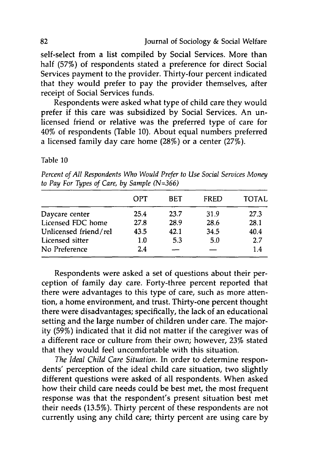self-select from a list compiled by Social Services. More than half (57%) of respondents stated a preference for direct Social Services payment to the provider. Thirty-four percent indicated that they would prefer to pay the provider themselves, after receipt of Social Services funds.

Respondents were asked what type of child care they would prefer if this care was subsidized by Social Services. An unlicensed friend or relative was the preferred type of care for 40% of respondents (Table 10). About equal numbers preferred a licensed family day care home (28%) or a center (27%).

Table 10

*Percent of All Respondents Who Would Prefer to Use Social Services Money to Pay For Types of Care, by Sample (N=366)*

|                       | OPT  | <b>BET</b> | <b>FRED</b> | <b>TOTAL</b> |
|-----------------------|------|------------|-------------|--------------|
| Daycare center        | 25.4 | 23.7       | 31.9        | 27.3         |
| Licensed FDC home     | 27.8 | 28.9       | 28.6        | 28.1         |
| Unlicensed friend/rel | 43.5 | 42.1       | 34.5        | 40.4         |
| Licensed sitter       | 1.0  | 5.3        | 5.0         | 2.7          |
| No Preference         | 2.4  |            |             | 1.4          |

Respondents were asked a set of questions about their perception of family day care. Forty-three percent reported that there were advantages to this type of care, such as more attention, a home environment, and trust. Thirty-one percent thought there were disadvantages; specifically, the lack of an educational setting and the large number of children under care. The majority (59%) indicated that it did not matter if the caregiver was of a different race or culture from their own; however, 23% stated that they would feel uncomfortable with this situation.

*The Ideal Child Care Situation.* In order to determine respondents' perception of the ideal child care situation, two slightly different questions were asked of all respondents. When asked how their child care needs could be best met, the most frequent response was that the respondent's present situation best met their needs (13.5%). Thirty percent of these respondents are not currently using any child care; thirty percent are using care by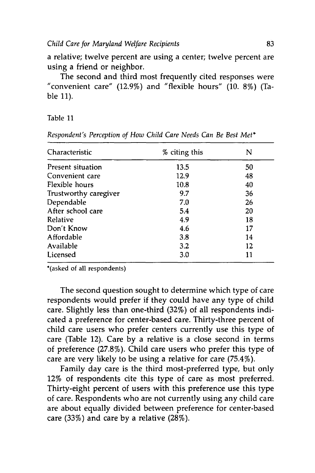a relative; twelve percent are using a center; twelve percent are using a friend or neighbor.

The second and third most frequently cited responses were "convenient care" (12.9%) and "flexible hours" (10. **8%)** (Table 11).

#### Table 11

| Characteristic        | % citing this | N  |
|-----------------------|---------------|----|
| Present situation     | 13.5          | 50 |
| Convenient care       | 12.9          | 48 |
| Flexible hours        | 10.8          | 40 |
| Trustworthy caregiver | 9.7           | 36 |
| Dependable            | 7.0           | 26 |
| After school care     | 5.4           | 20 |
| Relative              | 4.9           | 18 |
| Don't Know            | 4.6           | 17 |
| Affordable            | 3.8           | 14 |
| Available             | 3.2           | 12 |
| Licensed              | 3.0           | 11 |

*Respondent's Perception of How Child Care Needs Can Be Best Met\**

\*(asked of all respondents)

The second question sought to determine which type of care respondents would prefer if they could have any type of child care. Slightly less than one-third (32%) of all respondents indicated a preference for center-based care. Thirty-three percent of child care users who prefer centers currently use this type of care (Table 12). Care by a relative is a close second in terms of preference (27.8%). Child care users who prefer this type of care are very likely to be using a relative for care (75.4%).

Family day care is the third most-preferred type, but only 12% of respondents cite this type of care as most preferred. Thirty-eight percent of users with this preference use this type of care. Respondents who are not currently using any child care are about equally divided between preference for center-based care (33%) and care by a relative (28%).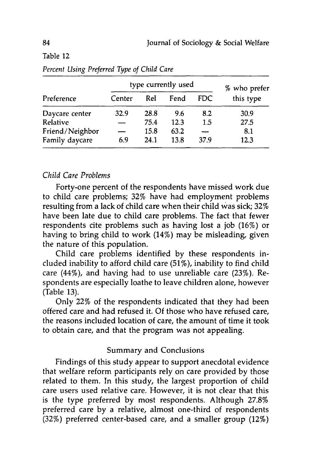## Table 12

|                 | type currently used |      |      |            | % who prefer |
|-----------------|---------------------|------|------|------------|--------------|
| Preference      | Center              | Rel  | Fend | <b>FDC</b> | this type    |
| Daycare center  | 32.9                | 28.8 | 9.6  | 8.2        | 30.9         |
| Relative        |                     | 75.4 | 12.3 | 1.5        | 27.5         |
| Friend/Neighbor | $\sim$              | 15.8 | 63.2 |            | 8.1          |
| Family daycare  | 6.9                 | 24.1 | 13.8 | 37.9       | 12.3         |

*Percent Using Preferred Type of Child Care*

## *Child Care Problems*

Forty-one percent of the respondents have missed work due to child care problems; **32%** have had employment problems resulting from a lack of child care when their child was sick; **32%** have been late due to child care problems. The fact that fewer respondents cite problems such as having lost a **job (16%)** or having to bring child to work (14%) may be misleading, given the nature of this population.

Child care problems identified **by** these respondents included inability to afford child care **(51%),** inability to find child care (44%), and having had to use unreliable care **(23%).** Respondents are especially loathe to leave children alone, however (Table **13).**

Only 22% of the respondents indicated that they had been offered care and had refused it. **Of** those who have refused care, the reasons included location of care, the amount of time it took to obtain care, and that the program was not appealing.

## Summary and Conclusions

Findings of this study appear to support anecdotal evidence that welfare reform participants rely on care provided **by** those related to them. In this study, the largest proportion of child care users used relative care. However, it is not clear that this is the type preferred **by** most respondents. Although **27.8%** preferred care **by** a relative, almost one-third of respondents (32%) preferred center-based care, and a smaller group (12%)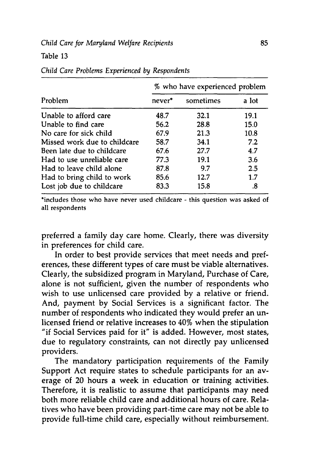#### Table **13**

| Problem                      | % who have experienced problem |           |       |
|------------------------------|--------------------------------|-----------|-------|
|                              | never <sup>*</sup>             | sometimes | a lot |
| Unable to afford care        | 48.7                           | 32.1      | 19.1  |
| Unable to find care          | 56.2                           | 28.8      | 15.0  |
| No care for sick child       | 67.9                           | 21.3      | 10.8  |
| Missed work due to childcare | 58.7                           | 34.1      | 7.2   |
| Been late due to childcare   | 67.6                           | 27.7      | 4.7   |
| Had to use unreliable care   | 77.3                           | 19.1      | 3.6   |
| Had to leave child alone     | 87.8                           | 9.7       | 2.5   |
| Had to bring child to work   | 85.6                           | 12.7      | 1.7   |
| Lost job due to childcare    | 83.3                           | 15.8      | .8    |

#### *Child Care Problems Experienced by Respondents*

\*includes those who have never used childcare **-** this question was asked of all respondents

preferred a family day care home. Clearly, there was diversity in preferences for child care.

In order to best provide services that meet needs and preferences, these different types of care must be viable alternatives. Clearly, the subsidized program in Maryland, Purchase of Care, alone is not sufficient, given the number of respondents who wish to use unlicensed care provided **by** a relative or friend. And, payment **by** Social Services is a significant factor. The number of respondents who indicated they would prefer an unlicensed friend or relative increases to 40% when the stipulation "if Social Services paid for it" is added. However, most states, due to regulatory constraints, can not directly pay unlicensed providers.

The mandatory participation requirements of the Family Support Act require states to schedule participants for an average of 20 hours a week in education or training activities. Therefore, it is realistic to assume that participants may need both more reliable child care and additional hours of care. Relatives who have been providing part-time care may not be able to provide full-time child care, especially without reimbursement.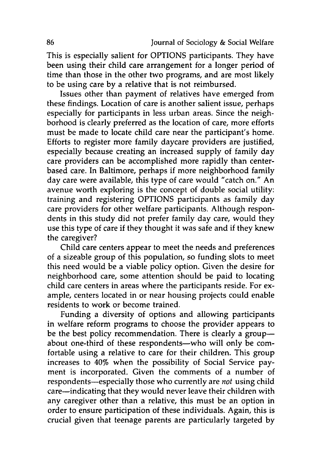This is especially salient for **OPTIONS** participants. They have been using their child care arrangement for a longer period of time than those in the other two programs, and are most likely to be using care **by** a relative that is not reimbursed.

Issues other than payment of relatives have emerged from these findings. Location of care is another salient issue, perhaps especially for participants in less urban areas. Since the neighborhood is clearly preferred as the location of care, more efforts must be made to locate child care near the participant's home. Efforts to register more family daycare providers are justified, especially because creating an increased supply of family day care providers can be accomplished more rapidly than centerbased care. In Baltimore, perhaps if more neighborhood family day care were available, this type of care would "catch on." An avenue worth exploring is the concept of double social utility: training and registering **OPTIONS** participants as family day care providers for other welfare participants. Although respondents in this study did not prefer family day care, would they use this type of care if they thought it was safe and if they knew the caregiver?

Child care centers appear to meet the needs and preferences of a sizeable group of this population, so funding slots to meet this need would be a viable policy option. Given the desire for neighborhood care, some attention should be paid to locating child care centers in areas where the participants reside. For example, centers located in or near housing projects could enable residents to work or become trained.

Funding a diversity of options and allowing participants in welfare reform programs to choose the provider appears to be the best policy recommendation. There is clearly a groupabout one-third of these respondents-who will only be comfortable using a relative to care for their children. This group increases to 40% when the possibility of Social Service payment is incorporated. Given the comments of a number of respondents-especially those who currently are *not* using child care-indicating that they would never leave their children with any caregiver other than a relative, this must be an option in order to ensure participation of these individuals. Again, this is crucial given that teenage parents are particularly targeted **by**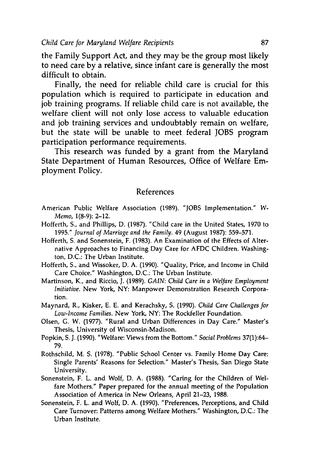the Family Support Act, and they may be the group most likely to need care **by** a relative, since infant care is generally the most difficult to obtain.

Finally, the need for reliable child care is crucial for this population which is required to participate in education and **job** training programs. If reliable child care is not available, the welfare client will not only lose access to valuable education and **job** training services and undoubtably remain on welfare, but the state will be unable to meet federal JOBS program participation performance requirements.

This research was funded **by** a grant from the Maryland State Department of Human Resources, Office of Welfare Employment Policy.

#### References

- American Public Welfare Association **(1989).** "JOBS Implementation." *W-Memo,* **1(8-9):** 2-12.
- Hofferth, **S.,** and Phillips, **D. (1987).** "Child care in the United States, **1970** to **1995."** *Journal of Marriage and the Family.* 49 (August **1987): 559-571.**
- Hofferth, **S.** and Sonenstein, F. **(1983).** An Examination of the Effects of Alternative Approaches to Financing Day Care for **AFDC** Children. Washington, **D.C.:** The Urban Institute.
- Hofferth, **S.,** and Wissoker, **D. A. (1990).** "Quality, Price, and Income in Child Care Choice." Washington, **D.C.:** The Urban Institute.
- Martinson, K., and Riccio, **J. (1989).** *GAIN: Child Care in a Welfare Employment Initiative.* New York, NY: Manpower Demonstration Research Corporation.
- Maynard, R., Kisker, **E. E.** and Kerachsky, **S. (1990).** *Child Care Challenges for Low-Income Families.* New York, NY: The Rockfeller Foundation.
- Olsen, **G.** W. **(1977).** "Rural and Urban Differences in Day Care." Master's Thesis, University of Wisconsin-Madison.
- Popkin, **S. J. (1990).** "Welfare: Views from the Bottom." *Social Problems* **37(1):64- 79.**
- Rothschild, M. **S. (1978).** "Public School Center vs. Family Home Day Care: Single Parents' Reasons for Selection." Master's Thesis, San Diego State University.
- Sonenstein, F. L. and Wolf, **D. A. (1988).** "Caring for the Children of Welfare Mothers." Paper prepared for the annual meeting of the Population Association of America in New Orleans, April **21-23, 1988.**
- Sonenstein, F. L. and Wolf, **D. A. (1990).** "Preferences, Perceptions, and Child Care Turnover: Patterns among Welfare Mothers." Washington, **D.C.:** The Urban Institute.